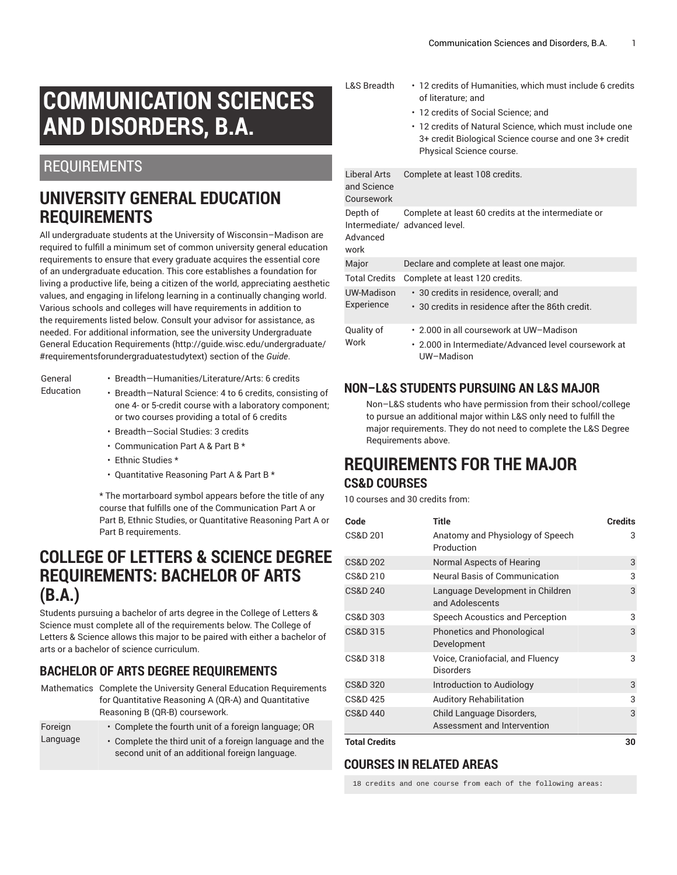# **COMMUNICATION SCIENCES AND DISORDERS, B.A.**

## REQUIREMENTS

## **UNIVERSITY GENERAL EDUCATION REQUIREMENTS**

All undergraduate students at the University of Wisconsin–Madison are required to fulfill a minimum set of common university general education requirements to ensure that every graduate acquires the essential core of an undergraduate education. This core establishes a foundation for living a productive life, being a citizen of the world, appreciating aesthetic values, and engaging in lifelong learning in a continually changing world. Various schools and colleges will have requirements in addition to the requirements listed below. Consult your advisor for assistance, as needed. For additional information, see the university Undergraduate General Education [Requirements](http://guide.wisc.edu/undergraduate/#requirementsforundergraduatestudytext) ([http://guide.wisc.edu/undergraduate/](http://guide.wisc.edu/undergraduate/#requirementsforundergraduatestudytext) [#requirementsforundergraduatestudytext](http://guide.wisc.edu/undergraduate/#requirementsforundergraduatestudytext)) section of the *Guide*.

#### General Education

- Breadth—Humanities/Literature/Arts: 6 credits
- Breadth—Natural Science: 4 to 6 credits, consisting of one 4- or 5-credit course with a laboratory component; or two courses providing a total of 6 credits
- Breadth—Social Studies: 3 credits
- Communication Part A & Part B \*
- Ethnic Studies \*
- Quantitative Reasoning Part A & Part B \*

\* The mortarboard symbol appears before the title of any course that fulfills one of the Communication Part A or Part B, Ethnic Studies, or Quantitative Reasoning Part A or Part B requirements.

## **COLLEGE OF LETTERS & SCIENCE DEGREE REQUIREMENTS: BACHELOR OF ARTS (B.A.)**

Students pursuing a bachelor of arts degree in the College of Letters & Science must complete all of the requirements below. The College of Letters & Science allows this major to be paired with either a bachelor of arts or a bachelor of science curriculum.

### **BACHELOR OF ARTS DEGREE REQUIREMENTS**

- Mathematics Complete the University General Education Requirements for Quantitative Reasoning A (QR-A) and Quantitative Reasoning B (QR-B) coursework. Foreign
- Language

• Complete the fourth unit of a foreign language; OR • Complete the third unit of a foreign language and the second unit of an additional foreign language.

- L&S Breadth 12 credits of Humanities, which must include 6 credits of literature; and
	- 12 credits of Social Science; and
	- 12 credits of Natural Science, which must include one 3+ credit Biological Science course and one 3+ credit Physical Science course.

| Liberal Arts<br>and Science<br>Coursework | Complete at least 108 credits.                                                                                |
|-------------------------------------------|---------------------------------------------------------------------------------------------------------------|
| Depth of<br>Advanced<br>work              | Complete at least 60 credits at the intermediate or<br>Intermediate/ advanced level.                          |
| Major                                     | Declare and complete at least one major.                                                                      |
| <b>Total Credits</b>                      | Complete at least 120 credits.                                                                                |
| UW-Madison<br>Experience                  | · 30 credits in residence, overall; and<br>• 30 credits in residence after the 86th credit.                   |
| Quality of<br>Work                        | ⋅ 2.000 in all coursework at UW-Madison<br>• 2.000 in Intermediate/Advanced level coursework at<br>UW-Madison |

### **NON–L&S STUDENTS PURSUING AN L&S MAJOR**

Non–L&S students who have permission from their school/college to pursue an additional major within L&S only need to fulfill the major requirements. They do not need to complete the L&S Degree Requirements above.

### **REQUIREMENTS FOR THE MAJOR CS&D COURSES**

10 courses and 30 credits from:

| Code                 | Title                                                    | <b>Credits</b> |
|----------------------|----------------------------------------------------------|----------------|
| <b>CS&amp;D 201</b>  | Anatomy and Physiology of Speech<br>Production           | 3              |
| <b>CS&amp;D 202</b>  | Normal Aspects of Hearing                                | 3              |
| CS&D 210             | <b>Neural Basis of Communication</b>                     | 3              |
| <b>CS&amp;D 240</b>  | Language Development in Children<br>and Adolescents      | 3              |
| CS&D 303             | Speech Acoustics and Perception                          | 3              |
| CS&D 315             | Phonetics and Phonological<br>Development                | 3              |
| CS&D 318             | Voice, Craniofacial, and Fluency<br>Disorders            | 3              |
| <b>CS&amp;D 320</b>  | Introduction to Audiology                                | 3              |
| <b>CS&amp;D 425</b>  | <b>Auditory Rehabilitation</b>                           | 3              |
| <b>CS&amp;D 440</b>  | Child Language Disorders,<br>Assessment and Intervention | 3              |
| <b>Total Credits</b> |                                                          | 30             |

### **COURSES IN RELATED AREAS**

18 credits and one course from each of the following areas: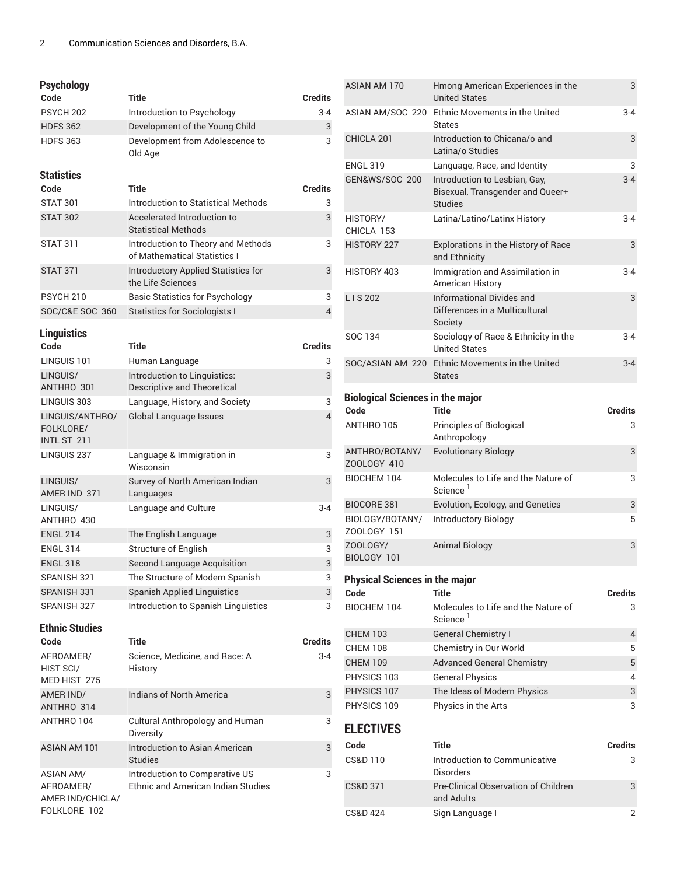#### **Psychology**

FOLKLORE 102

| ı əyununyy                                        |                                                                             |                |
|---------------------------------------------------|-----------------------------------------------------------------------------|----------------|
| Code                                              | <b>Title</b>                                                                | <b>Credits</b> |
| PSYCH <sub>202</sub>                              | Introduction to Psychology                                                  | $3 - 4$        |
| <b>HDFS 362</b>                                   | Development of the Young Child                                              | 3              |
| <b>HDFS 363</b>                                   | Development from Adolescence to<br>Old Age                                  | 3              |
| <b>Statistics</b>                                 |                                                                             |                |
| Code                                              | Title                                                                       | <b>Credits</b> |
| <b>STAT 301</b>                                   | Introduction to Statistical Methods                                         | 3              |
| <b>STAT 302</b>                                   | Accelerated Introduction to<br><b>Statistical Methods</b>                   | 3              |
| <b>STAT 311</b>                                   | Introduction to Theory and Methods<br>of Mathematical Statistics I          | 3              |
| <b>STAT 371</b>                                   | Introductory Applied Statistics for<br>the Life Sciences                    | 3              |
| PSYCH <sub>210</sub>                              | <b>Basic Statistics for Psychology</b>                                      | 3              |
| SOC/C&E SOC 360                                   | Statistics for Sociologists I                                               | 4              |
| <b>Linguistics</b>                                |                                                                             |                |
| Code                                              | Title                                                                       | <b>Credits</b> |
| LINGUIS 101                                       | Human Language                                                              | 3              |
| LINGUIS/                                          | Introduction to Linguistics:                                                | 3              |
| ANTHRO 301                                        | Descriptive and Theoretical                                                 |                |
| LINGUIS 303                                       | Language, History, and Society                                              | 3              |
| LINGUIS/ANTHRO/<br>FOLKLORE/<br>INTL ST 211       | Global Language Issues                                                      | 4              |
| LINGUIS 237                                       | Language & Immigration in<br>Wisconsin                                      | 3              |
| LINGUIS/<br>AMER IND 371                          | Survey of North American Indian<br>Languages                                | 3              |
| LINGUIS/<br>ANTHRO 430                            | Language and Culture                                                        | $3 - 4$        |
| <b>ENGL 214</b>                                   | The English Language                                                        | 3              |
| <b>ENGL 314</b>                                   | <b>Structure of English</b>                                                 | 3              |
| <b>ENGL 318</b>                                   | Second Language Acquisition                                                 | 3              |
| SPANISH 321                                       | The Structure of Modern Spanish                                             | 3              |
| SPANISH 331                                       | <b>Spanish Applied Linguistics</b>                                          | 3              |
| SPANISH 327                                       | Introduction to Spanish Linguistics                                         | 3              |
| <b>Ethnic Studies</b>                             |                                                                             |                |
| Code                                              | <b>Title</b>                                                                | <b>Credits</b> |
| AFROAMER/<br>HIST SCI/<br>MED HIST 275            | Science, Medicine, and Race: A<br>History                                   | 3-4            |
| AMER IND/<br>ANTHRO 314                           | Indians of North America                                                    | 3              |
| ANTHRO 104                                        | Cultural Anthropology and Human<br>Diversity                                | 3              |
| <b>ASIAN AM 101</b>                               | Introduction to Asian American<br><b>Studies</b>                            | 3              |
| <b>ASIAN AM/</b><br>AFROAMER/<br>AMER IND/CHICLA/ | Introduction to Comparative US<br><b>Ethnic and American Indian Studies</b> | 3              |

ASIAN AM 170 Hmong American Experiences in the United States 3 ASIAN AM/SOC 220 Ethnic Movements in the United **States** 3-4 CHICLA 201 Introduction to Chicana/o and Latina/o Studies 3 ENGL 319 Language, Race, and Identity 3 GEN&WS/SOC 200 Introduction to Lesbian, Gay, Bisexual, Transgender and Queer+ Studies 3-4 HISTORY/ CHICLA 153 Latina/Latino/Latinx History 3-4 HISTORY 227 Explorations in the History of Race and Ethnicity 3 HISTORY 403 Immigration and Assimilation in American History 3-4 L I S 202 Informational Divides and Differences in a Multicultural Society 3 SOC 134 Sociology of Race & Ethnicity in the United States 3-4 SOC/ASIAN AM 220 Ethnic Movements in the United States 3-4 **Biological Sciences in the major Code Title Credits** ANTHRO 105 Principles of Biological Anthropology 3 ANTHRO/BOTANY/ ZOOLOGY 410 Evolutionary Biology 3 BIOCHEM 104 Molecules to Life and the Nature of Science<sup>1</sup> 3 BIOCORE 381 Evolution, Ecology, and Genetics 33 BIOLOGY/BOTANY/ ZOOLOGY 151 Introductory Biology 5 ZOOLOGY/ BIOLOGY 101 Animal Biology 3 **Physical Sciences in the major Code Title Credits** BIOCHEM 104 Molecules to Life and the Nature of Science<sup>1</sup> 3 CHEM 103 General Chemistry I 4 CHEM 108 Chemistry in Our World 5 CHEM 109 Advanced General Chemistry 65 PHYSICS 103 General Physics 4 PHYSICS 107 The Ideas of Modern Physics 3 PHYSICS 109 Physics in the Arts 3 **ELECTIVES Code Title Credits** CS&D 110 **Introduction to Communicative** Disorders 3 CS&D 371 Pre-Clinical Observation of Children and Adults 3 CS&D 424 Sign Language I 2